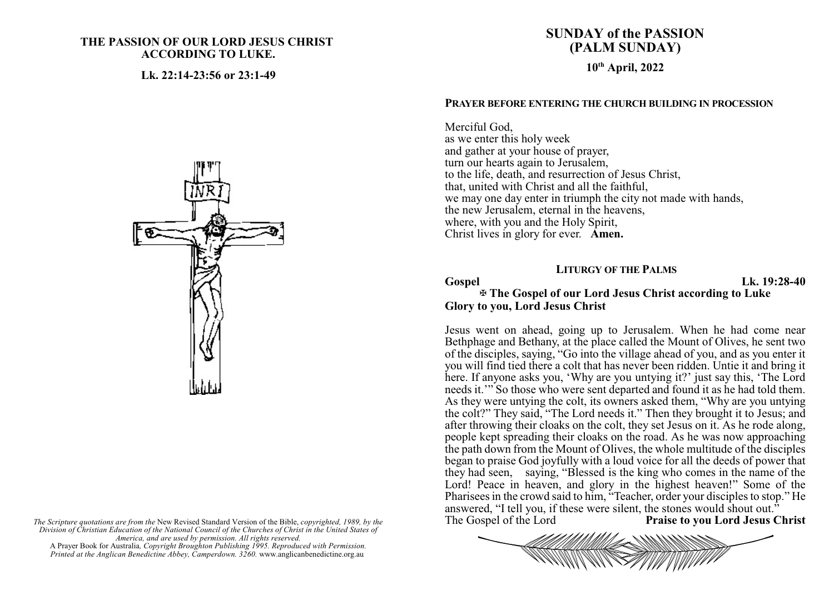### **THE PASSION OF OUR LORD JESUS CHRIST ACCORDING TO LUKE.**

**Lk. 22:14-23:56 or 23:1-49**

# **SUNDAY of the PASSION (PALM SUNDAY)**

**10th April, 2022**

#### **PRAYER BEFORE ENTERING THE CHURCH BUILDING IN PROCESSION**

Merciful God, as we enter this holy week and gather at your house of prayer, turn our hearts again to Jerusalem, to the life, death, and resurrection of Jesus Christ, that, united with Christ and all the faithful, we may one day enter in triumph the city not made with hands, the new Jerusalem, eternal in the heavens, where, with you and the Holy Spirit, Christ lives in glory for ever. **Amen.**

**LITURGY OF THE PALMS**

**Gospel Lk. 19:28-40**

## a **The Gospel of our Lord Jesus Christ according to Luke Glory to you, Lord Jesus Christ**

Jesus went on ahead, going up to Jerusalem. When he had come near Bethphage and Bethany, at the place called the Mount of Olives, he sent two of the disciples, saying, "Go into the village ahead of you, and as you enter it you will find tied there a colt that has never been ridden. Untie it and bring it here. If anyone asks you, 'Why are you untying it?' just say this, 'The Lord needs it.'" So those who were sent departed and found it as he had told them. As they were untying the colt, its owners asked them, "Why are you untying the colt?" They said, "The Lord needs it." Then they brought it to Jesus; and after throwing their cloaks on the colt, they set Jesus on it. As he rode along, people kept spreading their cloaks on the road. As he was now approaching the path down from the Mount of Olives, the whole multitude of the disciples began to praise God joyfully with a loud voice for all the deeds of power that they had seen, saying, "Blessed is the king who comes in the name of the Lord! Peace in heaven, and glory in the highest heaven!" Some of the Pharisees in the crowd said to him, "Teacher, order your disciples to stop." He answered, "I tell you, if these were silent, the stones would shout out."<br>The Gospel of the Lord Praise to you Lord Jesus ( Praise to you Lord Jesus Christ



*The Scripture quotations are from the* New Revised Standard Version of the Bible, *copyrighted, 1989, by the Division of Christian Education of the National Council of the Churches of Christ in the United States of America, and are used by permission. All rights reserved.*

A Prayer Book for Australia*, Copyright Broughton Publishing 1995. Reproduced with Permission. Printed at the Anglican Benedictine Abbey, Camperdown. 3260.* www.anglicanbenedictine.org.au